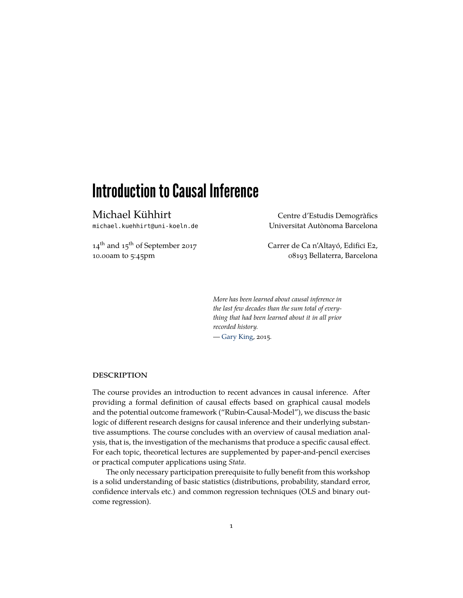# Introduction to Causal Inference

Michael Kühhirt Centre d'Estudis Demogràfics

14<sup>th</sup> and 15<sup>th</sup> of September 2017 Carrer de Ca n'Altayó, Edifici E2,

michael.kuehhirt@uni-koeln.de Universitat Autònoma Barcelona

10.00am to 5:45pm 08193 Bellaterra, Barcelona

*More has been learned about causal inference in the last few decades than the sum total of everything that had been learned about it in all prior recorded history.*

— [Gary King,](http://gking.harvard.edu/) 2015.

# **DESCRIPTION**

The course provides an introduction to recent advances in causal inference. After providing a formal definition of causal effects based on graphical causal models and the potential outcome framework ("Rubin-Causal-Model"), we discuss the basic logic of different research designs for causal inference and their underlying substantive assumptions. The course concludes with an overview of causal mediation analysis, that is, the investigation of the mechanisms that produce a specific causal effect. For each topic, theoretical lectures are supplemented by paper-and-pencil exercises or practical computer applications using *Stata*.

The only necessary participation prerequisite to fully benefit from this workshop is a solid understanding of basic statistics (distributions, probability, standard error, confidence intervals etc.) and common regression techniques (OLS and binary outcome regression).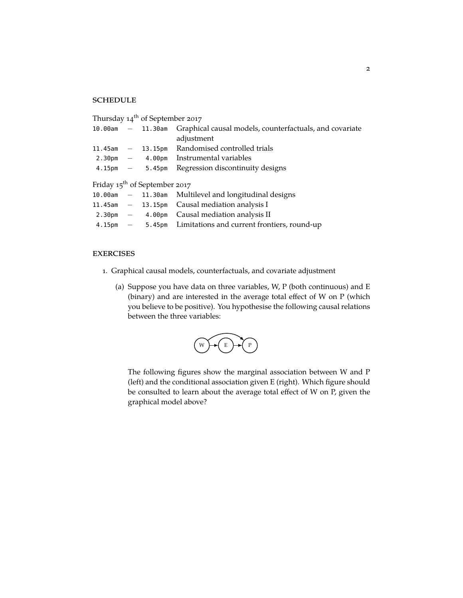# **SCHEDULE**

| Thursday 14 <sup>th</sup> of September 2017 |  |                                   |                                                                           |
|---------------------------------------------|--|-----------------------------------|---------------------------------------------------------------------------|
|                                             |  |                                   | 10.00am – 11.30am Graphical causal models, counterfactuals, and covariate |
|                                             |  |                                   | adjustment                                                                |
| $11.45$ am $-$                              |  |                                   | 13.15pm Randomised controlled trials                                      |
|                                             |  |                                   | $2.30 \text{pm}$ - 4.00pm Instrumental variables                          |
|                                             |  | $4.15 \text{pm} - 5.45 \text{pm}$ | Regression discontinuity designs                                          |
|                                             |  |                                   |                                                                           |
| Friday $15^{th}$ of September 2017          |  |                                   |                                                                           |
|                                             |  |                                   | 10.00am – 11.30am Multilevel and longitudinal designs                     |
|                                             |  |                                   | 11.45am $-$ 13.15pm Causal mediation analysis I                           |
|                                             |  |                                   | 2.30pm $-$ 4.00pm Causal mediation analysis II                            |
| 4.15pm                                      |  |                                   | - 5.45pm Limitations and current frontiers, round-up                      |
|                                             |  |                                   |                                                                           |

# **EXERCISES**

- 1. Graphical causal models, counterfactuals, and covariate adjustment
	- (a) Suppose you have data on three variables, W, P (both continuous) and E (binary) and are interested in the average total effect of W on P (which you believe to be positive). You hypothesise the following causal relations between the three variables:



The following figures show the marginal association between W and P (left) and the conditional association given E (right). Which figure should be consulted to learn about the average total effect of W on P, given the graphical model above?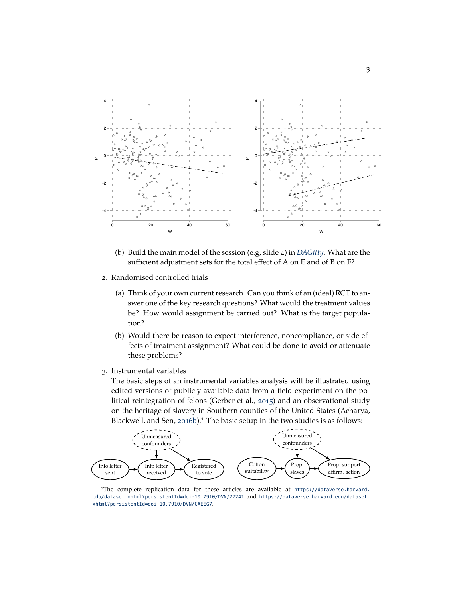

- (b) Build the main model of the session (e.g, slide 4) in *[DAGitty](http://dagitty.net/dags.html)*. What are the sufficient adjustment sets for the total effect of A on E and of B on F?
- 2. Randomised controlled trials
	- (a) Think of your own current research. Can you think of an (ideal) RCT to answer one of the key research questions? What would the treatment values be? How would assignment be carried out? What is the target population?
	- (b) Would there be reason to expect interference, noncompliance, or side effects of treatment assignment? What could be done to avoid or attenuate these problems?
- 3. Instrumental variables

The basic steps of an instrumental variables analysis will be illustrated using edited versions of publicly available data from a field experiment on the political reintegration of felons (Gerber et al., 2015) and an observational study on the heritage of slavery in Southern counties of the United States (Acharya, Blackwell, and Sen, 2016b).<sup>1</sup> The basic setup in the two studies is as follows:



<sup>1</sup>The complete replication data for these articles are available at [https://dataverse.harvard.](https://dataverse.harvard.edu/dataset.xhtml?persistentId=doi:10.7910/DVN/27241) [edu/dataset.xhtml?persistentId=doi:10.7910/DVN/27241](https://dataverse.harvard.edu/dataset.xhtml?persistentId=doi:10.7910/DVN/27241) and [https://dataverse.harvard.edu/dataset.](https://dataverse.harvard.edu/dataset.xhtml?persistentId=doi:10.7910/DVN/CAEEG7) [xhtml?persistentId=doi:10.7910/DVN/CAEEG7](https://dataverse.harvard.edu/dataset.xhtml?persistentId=doi:10.7910/DVN/CAEEG7).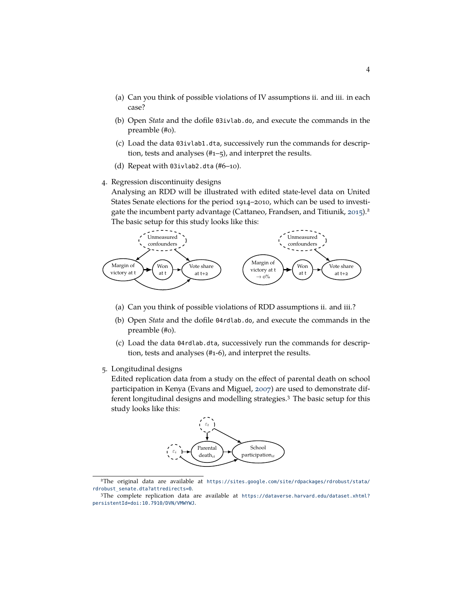- (a) Can you think of possible violations of IV assumptions ii. and iii. in each case?
- (b) Open *Stata* and the dofile 03ivlab.do, and execute the commands in the preamble (#0).
- (c) Load the data 03ivlab1.dta, successively run the commands for description, tests and analyses (#1–5), and interpret the results.
- (d) Repeat with 03ivlab2.dta (#6–10).
- 4. Regression discontinuity designs

Analysing an RDD will be illustrated with edited state-level data on United States Senate elections for the period 1914–2010, which can be used to investigate the incumbent party advantage (Cattaneo, Frandsen, and Titiunik, 2015).<sup>2</sup> The basic setup for this study looks like this:



- (a) Can you think of possible violations of RDD assumptions ii. and iii.?
- (b) Open *Stata* and the dofile 04rdlab.do, and execute the commands in the preamble (#0).
- (c) Load the data 04rdlab.dta, successively run the commands for description, tests and analyses (#1-6), and interpret the results.
- 5. Longitudinal designs

Edited replication data from a study on the effect of parental death on school participation in Kenya (Evans and Miguel, 2007) are used to demonstrate different longitudinal designs and modelling strategies.3 The basic setup for this study looks like this:



<sup>2</sup>The original data are available at [https://sites.google.com/site/rdpackages/rdrobust/stata/](https://sites.google.com/site/rdpackages/rdrobust/stata/rdrobust_senate.dta?attredirects=0) rdrobust senate.dta?attredirects=0.

<sup>3</sup>The complete replication data are available at [https://dataverse.harvard.edu/dataset.xhtml?](https://dataverse.harvard.edu/dataset.xhtml?persistentId=doi:10.7910/DVN/VMWYWJ) [persistentId=doi:10.7910/DVN/VMWYWJ](https://dataverse.harvard.edu/dataset.xhtml?persistentId=doi:10.7910/DVN/VMWYWJ).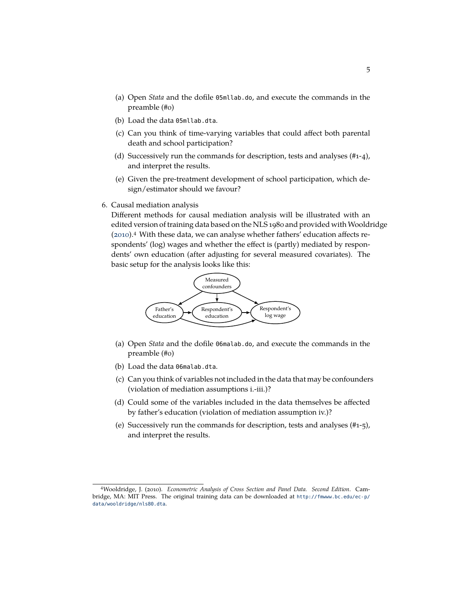- (a) Open *Stata* and the dofile 05mllab.do, and execute the commands in the preamble (#0)
- (b) Load the data 05mllab.dta.
- (c) Can you think of time-varying variables that could affect both parental death and school participation?
- (d) Successively run the commands for description, tests and analyses (#1-4), and interpret the results.
- (e) Given the pre-treatment development of school participation, which design/estimator should we favour?
- 6. Causal mediation analysis

Different methods for causal mediation analysis will be illustrated with an edited version of training data based on the NLS 1980 and provided with Wooldridge (2010).4 With these data, we can analyse whether fathers' education affects respondents' (log) wages and whether the effect is (partly) mediated by respondents' own education (after adjusting for several measured covariates). The basic setup for the analysis looks like this:



- (a) Open *Stata* and the dofile 06malab.do, and execute the commands in the preamble (#0)
- (b) Load the data 06malab.dta.
- (c) Can you think of variables not included in the data that may be confounders (violation of mediation assumptions i.-iii.)?
- (d) Could some of the variables included in the data themselves be affected by father's education (violation of mediation assumption iv.)?
- (e) Successively run the commands for description, tests and analyses (#1-5), and interpret the results.

<sup>4</sup>Wooldridge, J. (2010). *Econometric Analysis of Cross Section and Panel Data. Second Edition*. Cambridge, MA: MIT Press. The original training data can be downloaded at [http://fmwww.bc.edu/ec-p/](http://fmwww.bc.edu/ec-p/data/wooldridge/nls80.dta) [data/wooldridge/nls80.dta](http://fmwww.bc.edu/ec-p/data/wooldridge/nls80.dta).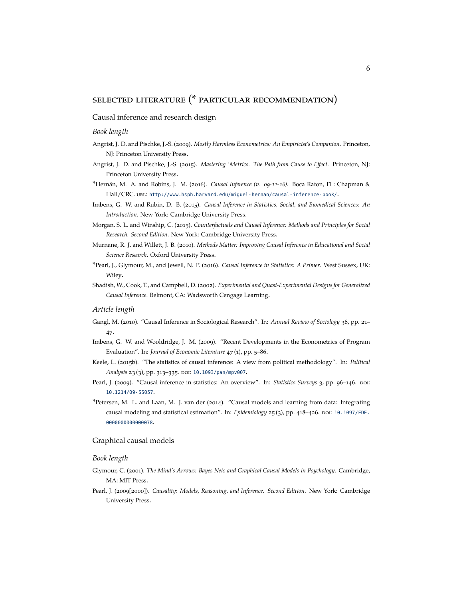# selected literature (\* particular recommendation)

# Causal inference and research design

#### *Book length*

- Angrist, J. D. and Pischke, J.-S. (2009). *Mostly Harmless Econometrics: An Empiricist's Companion*. Princeton, NJ: Princeton University Press.
- Angrist, J. D. and Pischke, J.-S. (2015). *Mastering 'Metrics. The Path from Cause to Effect*. Princeton, NJ: Princeton University Press.
- \*Hernán, M. A. and Robins, J. M. (2016). *Causal Inference (v. 09-11-16)*. Boca Raton, FL: Chapman & Hall/CRC. url: <http://www.hsph.harvard.edu/miguel-hernan/causal-inference-book/>.
- Imbens, G. W. and Rubin, D. B. (2015). *Causal Inference in Statistics, Social, and Biomedical Sciences: An Introduction*. New York: Cambridge University Press.
- Morgan, S. L. and Winship, C. (2015). *Counterfactuals and Causal Inference: Methods and Principles for Social Research. Second Edition*. New York: Cambridge University Press.
- Murnane, R. J. and Willett, J. B. (2010). *Methods Matter: Improving Causal Inference in Educational and Social Science Research*. Oxford University Press.
- \*Pearl, J., Glymour, M., and Jewell, N. P. (2016). *Causal Inference in Statistics: A Primer*. West Sussex, UK: Wiley.
- Shadish, W., Cook, T., and Campbell, D. (2002). *Experimental and Quasi-Experimental Designs for Generalized Causal Inference*. Belmont, CA: Wadsworth Cengage Learning.

# *Article length*

- Gangl, M. (2010). "Causal Inference in Sociological Research". In: *Annual Review of Sociology* 36, pp. 21– 47.
- Imbens, G. W. and Wooldridge, J. M. (2009). "Recent Developments in the Econometrics of Program Evaluation". In: *Journal of Economic Literature* 47 (1), pp. 5–86.
- Keele, L. (2015b). "The statistics of causal inference: A view from political methodology". In: *Political* Analysis 23(3), pp. 313-335. DOI: [10.1093/pan/mpv007](http://dx.doi.org/10.1093/pan/mpv007).
- Pearl, J. (2009). "Causal inference in statistics: An overview". In: *Statistics Surveys* 3, pp. 96-146. por: [10.1214/09-SS057](http://dx.doi.org/10.1214/09-SS057).
- \*Petersen, M. L. and Laan, M. J. van der (2014). "Causal models and learning from data: Integrating causal modeling and statistical estimation". In: *Epidemiology* 25(3), pp. 418–426. por: [10.1097/EDE.](http://dx.doi.org/10.1097/EDE.0000000000000078) [0000000000000078](http://dx.doi.org/10.1097/EDE.0000000000000078).

#### Graphical causal models

#### *Book length*

- Glymour, C. (2001). *The Mind's Arrows: Bayes Nets and Graphical Causal Models in Psychology*. Cambridge, MA: MIT Press.
- Pearl, J. (2009[2000]). *Causality: Models, Reasoning, and Inference. Second Edition*. New York: Cambridge University Press.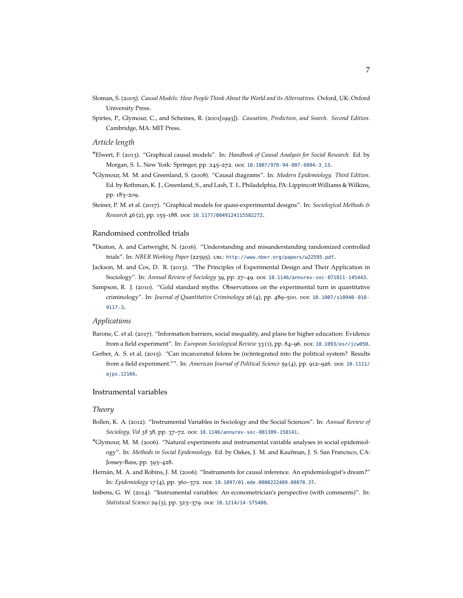- Sloman, S. (2005). *Causal Models: How People Think About the World and its Alternatives*. Oxford, UK: Oxford University Press.
- Spirtes, P., Glymour, C., and Scheines, R. (2001[1993]). *Causation, Prediction, and Search. Second Edition*. Cambridge, MA: MIT Press.

#### *Article length*

- \*Elwert, F. (2013). "Graphical causal models". In: *Handbook of Causal Analysis for Social Research*. Ed. by Morgan, S. L. New York: Springer, pp. 245-272. DOI: [10.1007/978-94-007-6094-3\\_13](http://dx.doi.org/10.1007/978-94-007-6094-3_13).
- \*Glymour, M. M. and Greenland, S. (2008). "Causal diagrams". In: *Modern Epidemiology. Third Edition*. Ed. by Rothman, K. J., Greenland, S., and Lash, T. L. Philadelphia, PA: Lippincott Williams & Wilkins, pp. 183–209.
- Steiner, P. M. et al. (2017). "Graphical models for quasi-experimental designs". In: *Sociological Methods & Research* 46(2), pp. 155-188. poi: [10.1177/0049124115582272](http://dx.doi.org/10.1177/0049124115582272).

#### Randomised controlled trials

- \*Deaton, A. and Cartwright, N. (2016). "Understanding and misunderstanding randomized controlled trials". In: *NBER Working Paper* (22595). url: <http://www.nber.org/papers/w22595.pdf>.
- Jackson, M. and Cox, D. R. (2013). "The Principles of Experimental Design and Their Application in Sociology". In: *Annual Review of Sociology* 39, pp. 27–49. doi: [10.1146/annurev-soc-071811-145443](http://dx.doi.org/10.1146/annurev-soc-071811-145443).
- Sampson, R. J. (2010). "Gold standard myths: Observations on the experimental turn in quantitative criminology". In: *Journal of Quantitative Criminology* 26 (4), pp. 489–500. doi: [10.1007/s10940- 010-](http://dx.doi.org/10.1007/s10940-010-9117-3) [9117-3](http://dx.doi.org/10.1007/s10940-010-9117-3).

# *Applications*

- Barone, C. et al. (2017). "Information barriers, social inequality, and plans for higher education: Evidence from a field experiment". In: *European Sociological Review* 33(1), pp. 84-96. poi: [10.1093/esr/jcw050](http://dx.doi.org/10.1093/esr/jcw050).
- Gerber, A. S. et al. (2015). "Can incarcerated felons be (re)integrated into the political system? Results from a field experiment."". In: *American Journal of Political Science* 59 (4), pp. 912–926. doi: [10.1111/](http://dx.doi.org/10.1111/ajps.12166) [ajps.12166](http://dx.doi.org/10.1111/ajps.12166).

#### Instrumental variables

## *Theory*

- Bollen, K. A. (2012). "Instrumental Variables in Sociology and the Social Sciences". In: *Annual Review of Sociology, Vol 38* 38, pp. 37–72. doi: [10.1146/annurev-soc-081309-150141](http://dx.doi.org/10.1146/annurev-soc-081309-150141).
- \*Glymour, M. M. (2006). "Natural experiments and instrumental variable analyses in social epidemiology". In: *Methods in Social Epidemiology*. Ed. by Oakes, J. M. and Kaufman, J. S. San Francisco, CA: Jossey-Bass, pp. 393–428.
- Hernán, M. A. and Robins, J. M. (2006). "Instruments for causal inference. An epidemiologist's dream?" In: *Epidemiology* 17(4), pp. 360-372. DOI: [10.1097/01.ede.0000222409.00878.37](http://dx.doi.org/10.1097/01.ede.0000222409.00878.37).
- Imbens, G. W. (2014). "Instrumental variables: An econometrician's perspective (with comments)". In: *Statistical Science* 29(3), pp. 323-379. DOI: [10.1214/14-STS480](http://dx.doi.org/10.1214/14-STS480).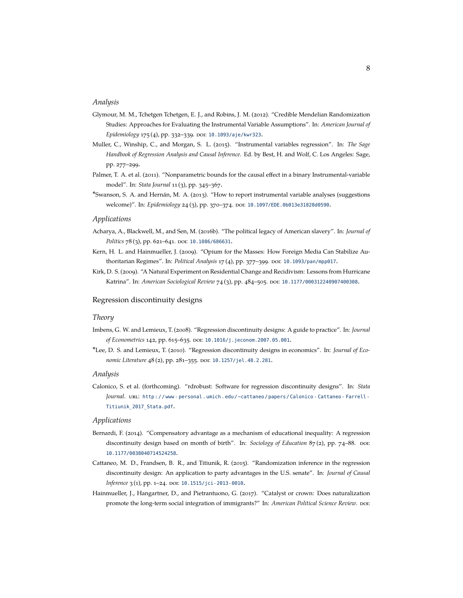#### *Analysis*

- Glymour, M. M., Tchetgen Tchetgen, E. J., and Robins, J. M. (2012). "Credible Mendelian Randomization Studies: Approaches for Evaluating the Instrumental Variable Assumptions". In: *American Journal of Epidemiology* 175(4), pp. 332-339. DOI: [10.1093/aje/kwr323](http://dx.doi.org/10.1093/aje/kwr323).
- Muller, C., Winship, C., and Morgan, S. L. (2015). "Instrumental variables regression". In: *The Sage Handbook of Regression Analysis and Causal Inference*. Ed. by Best, H. and Wolf, C. Los Angeles: Sage, pp. 277–299.
- Palmer, T. A. et al. (2011). "Nonparametric bounds for the causal effect in a binary Instrumental-variable model". In: *Stata Journal* 11 (3), pp. 345–367.
- \*Swanson, S. A. and Hernán, M. A. (2013). "How to report instrumental variable analyses (suggestions welcome)". In: *Epidemiology* 24(3), pp. 370-374. poi: [10.1097/EDE.0b013e31828d0590](http://dx.doi.org/10.1097/EDE.0b013e31828d0590).

#### *Applications*

- Acharya, A., Blackwell, M., and Sen, M. (2016b). "The political legacy of American slavery". In: *Journal of Politics* 78(3), pp. 621-641. DOI: [10.1086/686631](http://dx.doi.org/10.1086/686631).
- Kern, H. L. and Hainmueller, J. (2009). "Opium for the Masses: How Foreign Media Can Stabilize Authoritarian Regimes". In: *Political Analysis* 17(4), pp. 377-399. DOI: [10.1093/pan/mpp017](http://dx.doi.org/10.1093/pan/mpp017).
- Kirk, D. S. (2009). "A Natural Experiment on Residential Change and Recidivism: Lessons from Hurricane Katrina". In: *American Sociological Review* 74 (3), pp. 484–505. doi: [10.1177/000312240907400308](http://dx.doi.org/10.1177/000312240907400308).

# Regression discontinuity designs

# *Theory*

- Imbens, G. W. and Lemieux, T. (2008). "Regression discontinuity designs: A guide to practice". In: *Journal of Econometrics* 142, pp. 615–635. doi: [10.1016/j.jeconom.2007.05.001](http://dx.doi.org/10.1016/j.jeconom.2007.05.001).
- \*Lee, D. S. and Lemieux, T. (2010). "Regression discontinuity designs in economics". In: *Journal of Economic Literature* 48(2), pp. 281-355. DOI: [10.1257/jel.48.2.281](http://dx.doi.org/10.1257/jel.48.2.281).

#### *Analysis*

Calonico, S. et al. (forthcoming). "rdrobust: Software for regression discontinuity designs". In: *Stata Journal.* URL: http://www-personal.umich.edu/~cattaneo/papers/Calonico-Cattaneo-Farrell-[Titiunik\\_2017\\_Stata.pdf](http://www-personal.umich.edu/~cattaneo/papers/Calonico-Cattaneo-Farrell-Titiunik_2017_Stata.pdf).

# *Applications*

- Bernardi, F. (2014). "Compensatory advantage as a mechanism of educational inequality: A regression discontinuity design based on month of birth". In: *Sociology of Education* 87(2), pp. 74-88. poi: [10.1177/0038040714524258](http://dx.doi.org/10.1177/0038040714524258).
- Cattaneo, M. D., Frandsen, B. R., and Titiunik, R. (2015). "Randomization inference in the regression discontinuity design: An application to party advantages in the U.S. senate". In: *Journal of Causal Inference* 3(1), pp. 1-24. DOI: [10.1515/jci-2013-0010](http://dx.doi.org/10.1515/jci-2013-0010).
- Hainmueller, J., Hangartner, D., and Pietrantuono, G. (2017). "Catalyst or crown: Does naturalization promote the long-term social integration of immigrants?" In: *American Political Science Review*. Doi: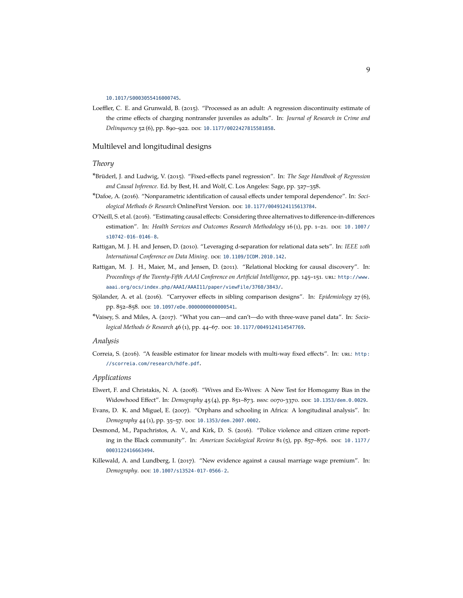#### [10.1017/S0003055416000745](http://dx.doi.org/10.1017/S0003055416000745).

Loeffler, C. E. and Grunwald, B. (2015). "Processed as an adult: A regression discontinuity estimate of the crime effects of charging nontransfer juveniles as adults". In: *Journal of Research in Crime and Delinquency* 52 (6), pp. 890–922. doi: [10.1177/0022427815581858](http://dx.doi.org/10.1177/0022427815581858).

# Multilevel and longitudinal designs

#### *Theory*

- \*Brüderl, J. and Ludwig, V. (2015). "Fixed-effects panel regression". In: *The Sage Handbook of Regression and Causal Inference*. Ed. by Best, H. and Wolf, C. Los Angeles: Sage, pp. 327–358.
- \*Dafoe, A. (2016). "Nonparametric identification of causal effects under temporal dependence". In: *Soci-ological Methods & Research OnlineFirst Version. DOI: [10.1177/0049124115613784](http://dx.doi.org/10.1177/0049124115613784).*
- O'Neill, S. et al. (2016). "Estimating causal effects: Considering three alternatives to difference-in-differences estimation". In: *Health Services and Outcomes Research Methodology* 16 (1), pp. 1-21. DOI: [10 . 1007 /](http://dx.doi.org/10.1007/s10742-016-0146-8) [s10742-016-0146-8](http://dx.doi.org/10.1007/s10742-016-0146-8).
- Rattigan, M. J. H. and Jensen, D. (2010). "Leveraging d-separation for relational data sets". In: *IEEE 10th* International Conference on Data Mining. poi: [10.1109/ICDM.2010.142](http://dx.doi.org/10.1109/ICDM.2010.142).
- Rattigan, M. J. H., Maier, M., and Jensen, D. (2011). "Relational blocking for causal discovery". In: Proceedings of the Twenty-Fifth AAAI Conference on Artificial Intelligence, pp. 145-151. url: [http://www.](http://www.aaai.org/ocs/index.php/AAAI/AAAI11/paper/viewFile/3760/3843/) [aaai.org/ocs/index.php/AAAI/AAAI11/paper/viewFile/3760/3843/](http://www.aaai.org/ocs/index.php/AAAI/AAAI11/paper/viewFile/3760/3843/).
- Sjölander, A. et al. (2016). "Carryover effects in sibling comparison designs". In: *Epidemiology* 27 (6), pp. 852–858. doi: [10.1097/eDe.0000000000000541](http://dx.doi.org/10.1097/eDe.0000000000000541).
- \*Vaisey, S. and Miles, A. (2017). "What you can—and can't—do with three-wave panel data". In: *Sociological Methods & Research* 46 (1), pp. 44-67. poi: [10.1177/0049124114547769](http://dx.doi.org/10.1177/0049124114547769).

#### *Analysis*

Correia, S. (2016). "A feasible estimator for linear models with multi-way fixed effects". In: URL: [http:](http://scorreia.com/research/hdfe.pdf) [//scorreia.com/research/hdfe.pdf](http://scorreia.com/research/hdfe.pdf).

#### *Applications*

- Elwert, F. and Christakis, N. A. (2008). "Wives and Ex-Wives: A New Test for Homogamy Bias in the Widowhood Effect". In: *Demography* 45(4), pp. 851-873. ISSN: 0070-3370. DOI: [10.1353/dem.0.0029](http://dx.doi.org/10.1353/dem.0.0029).
- Evans, D. K. and Miguel, E. (2007). "Orphans and schooling in Africa: A longitudinal analysis". In: *Demography* 44 (1), pp. 35–57. doi: [10.1353/dem.2007.0002](http://dx.doi.org/10.1353/dem.2007.0002).
- Desmond, M., Papachristos, A. V., and Kirk, D. S. (2016). "Police violence and citizen crime reporting in the Black community". In: *American Sociological Review* 81(5), pp. 857-876. poi: 10.1177/ [0003122416663494](http://dx.doi.org/10.1177/0003122416663494).
- Killewald, A. and Lundberg, I. (2017). "New evidence against a causal marriage wage premium". In: *Demography*. doi: [10.1007/s13524-017-0566-2](http://dx.doi.org/10.1007/s13524-017-0566-2).